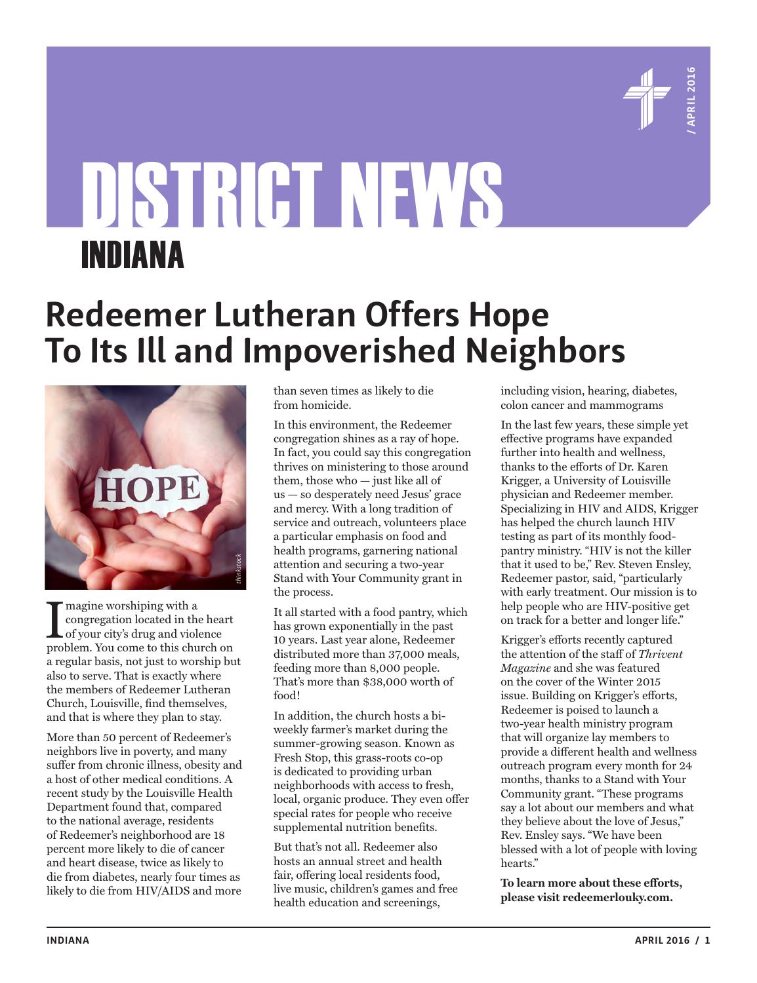

# DISTRICT NEWS INDIANA

# **Redeemer Lutheran Offers Hope To Its Ill and Impoverished Neighbors**



 $\begin{array}{l} \displaystyle \prod \text{magine working with a} \\ \text{congregation located in the heart} \\ \text{of your city's drug and violence} \\ \text{problem. You come to this church on} \end{array}$ magine worshiping with a congregation located in the heart of your city's drug and violence a regular basis, not just to worship but also to serve. That is exactly where the members of Redeemer Lutheran Church, Louisville, find themselves, and that is where they plan to stay.

More than 50 percent of Redeemer's neighbors live in poverty, and many suffer from chronic illness, obesity and a host of other medical conditions. A recent study by the Louisville Health Department found that, compared to the national average, residents of Redeemer's neighborhood are 18 percent more likely to die of cancer and heart disease, twice as likely to die from diabetes, nearly four times as likely to die from HIV/AIDS and more

than seven times as likely to die from homicide.

In this environment, the Redeemer congregation shines as a ray of hope. In fact, you could say this congregation thrives on ministering to those around them, those who — just like all of us — so desperately need Jesus' grace and mercy. With a long tradition of service and outreach, volunteers place a particular emphasis on food and health programs, garnering national attention and securing a two-year Stand with Your Community grant in the process.

It all started with a food pantry, which has grown exponentially in the past 10 years. Last year alone, Redeemer distributed more than 37,000 meals, feeding more than 8,000 people. That's more than \$38,000 worth of food!

In addition, the church hosts a biweekly farmer's market during the summer-growing season. Known as Fresh Stop, this grass-roots co-op is dedicated to providing urban neighborhoods with access to fresh, local, organic produce. They even offer special rates for people who receive supplemental nutrition benefits.

But that's not all. Redeemer also hosts an annual street and health fair, offering local residents food, live music, children's games and free health education and screenings,

including vision, hearing, diabetes, colon cancer and mammograms

In the last few years, these simple yet effective programs have expanded further into health and wellness, thanks to the efforts of Dr. Karen Krigger, a University of Louisville physician and Redeemer member. Specializing in HIV and AIDS, Krigger has helped the church launch HIV testing as part of its monthly foodpantry ministry. "HIV is not the killer that it used to be," Rev. Steven Ensley, Redeemer pastor, said, "particularly with early treatment. Our mission is to help people who are HIV-positive get on track for a better and longer life."

Krigger's efforts recently captured the attention of the staff of *Thrivent Magazine* and she was featured on the cover of the Winter 2015 issue. Building on Krigger's efforts, Redeemer is poised to launch a two-year health ministry program that will organize lay members to provide a different health and wellness outreach program every month for 24 months, thanks to a Stand with Your Community grant. "These programs say a lot about our members and what they believe about the love of Jesus," Rev. Ensley says. "We have been blessed with a lot of people with loving hearts."

**To learn more about these efforts, please visit redeemerlouky.com.**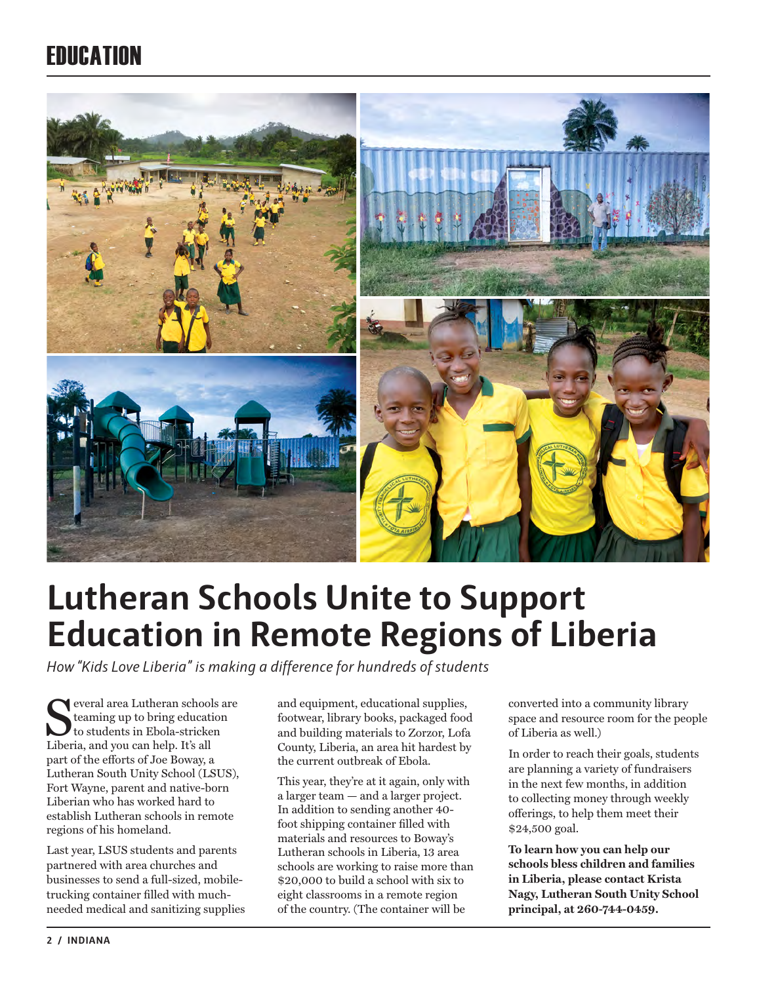### EDUCATION



# **Lutheran Schools Unite to Support Education in Remote Regions of Liberia**

*How "Kids Love Liberia" is making a difference for hundreds of students*

everal area Lutheran schools are teaming up to bring education to students in Ebola-stricken Liberia, and you can help. It's all part of the efforts of Joe Boway, a Lutheran South Unity School (LSUS), Fort Wayne, parent and native-born Liberian who has worked hard to establish Lutheran schools in remote regions of his homeland.

Last year, LSUS students and parents partnered with area churches and businesses to send a full-sized, mobiletrucking container filled with muchneeded medical and sanitizing supplies

and equipment, educational supplies, footwear, library books, packaged food and building materials to Zorzor, Lofa County, Liberia, an area hit hardest by the current outbreak of Ebola.

This year, they're at it again, only with a larger team — and a larger project. In addition to sending another 40 foot shipping container filled with materials and resources to Boway's Lutheran schools in Liberia, 13 area schools are working to raise more than \$20,000 to build a school with six to eight classrooms in a remote region of the country. (The container will be

converted into a community library space and resource room for the people of Liberia as well.)

In order to reach their goals, students are planning a variety of fundraisers in the next few months, in addition to collecting money through weekly offerings, to help them meet their \$24,500 goal.

**To learn how you can help our schools bless children and families in Liberia, please contact Krista Nagy, Lutheran South Unity School principal, at 260-744-0459.**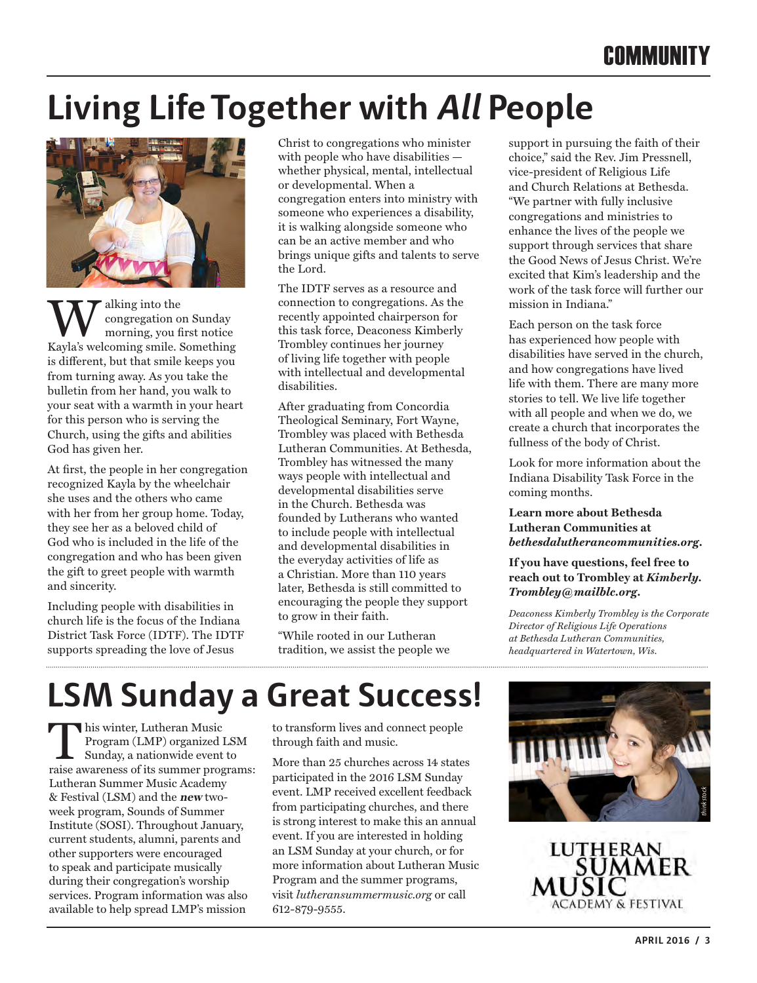# **Living Life Together with All People**



Walking into the Kayla's welcoming smile. Something congregation on Sunday morning, you first notice is different, but that smile keeps you from turning away. As you take the bulletin from her hand, you walk to your seat with a warmth in your heart for this person who is serving the Church, using the gifts and abilities God has given her.

At first, the people in her congregation recognized Kayla by the wheelchair she uses and the others who came with her from her group home. Today, they see her as a beloved child of God who is included in the life of the congregation and who has been given the gift to greet people with warmth and sincerity.

Including people with disabilities in church life is the focus of the Indiana District Task Force (IDTF). The IDTF supports spreading the love of Jesus

Christ to congregations who minister with people who have disabilities whether physical, mental, intellectual or developmental. When a congregation enters into ministry with someone who experiences a disability, it is walking alongside someone who can be an active member and who brings unique gifts and talents to serve the Lord.

The IDTF serves as a resource and connection to congregations. As the recently appointed chairperson for this task force, Deaconess Kimberly Trombley continues her journey of living life together with people with intellectual and developmental disabilities.

After graduating from Concordia Theological Seminary, Fort Wayne, Trombley was placed with Bethesda Lutheran Communities. At Bethesda, Trombley has witnessed the many ways people with intellectual and developmental disabilities serve in the Church. Bethesda was founded by Lutherans who wanted to include people with intellectual and developmental disabilities in the everyday activities of life as a Christian. More than 110 years later, Bethesda is still committed to encouraging the people they support to grow in their faith.

"While rooted in our Lutheran tradition, we assist the people we support in pursuing the faith of their choice," said the Rev. Jim Pressnell, vice-president of Religious Life and Church Relations at Bethesda. "We partner with fully inclusive congregations and ministries to enhance the lives of the people we support through services that share the Good News of Jesus Christ. We're excited that Kim's leadership and the work of the task force will further our mission in Indiana."

Each person on the task force has experienced how people with disabilities have served in the church, and how congregations have lived life with them. There are many more stories to tell. We live life together with all people and when we do, we create a church that incorporates the fullness of the body of Christ.

Look for more information about the Indiana Disability Task Force in the coming months.

**Learn more about Bethesda Lutheran Communities at**  *bethesdalutherancommunities.org***.** 

**If you have questions, feel free to reach out to Trombley at** *Kimberly. Trombley@mailblc.org***.**

*Deaconess Kimberly Trombley is the Corporate Director of Religious Life Operations at Bethesda Lutheran Communities, headquartered in Watertown, Wis.* 

# **LSM Sunday a Great Success!**

This winter, Lutheran Music<br>Program (LMP) organized l<br>Sunday, a nationwide event<br>raise awareness of its summer prog Program (LMP) organized LSM Sunday, a nationwide event to raise awareness of its summer programs: Lutheran Summer Music Academy & Festival (LSM) and the **new** twoweek program, Sounds of Summer Institute (SOSI). Throughout January, current students, alumni, parents and other supporters were encouraged to speak and participate musically during their congregation's worship services. Program information was also available to help spread LMP's mission

to transform lives and connect people through faith and music.

More than 25 churches across 14 states participated in the 2016 LSM Sunday event. LMP received excellent feedback from participating churches, and there is strong interest to make this an annual event. If you are interested in holding an LSM Sunday at your church, or for more information about Lutheran Music Program and the summer programs, visit *lutheransummermusic.org* or call 612-879-9555.

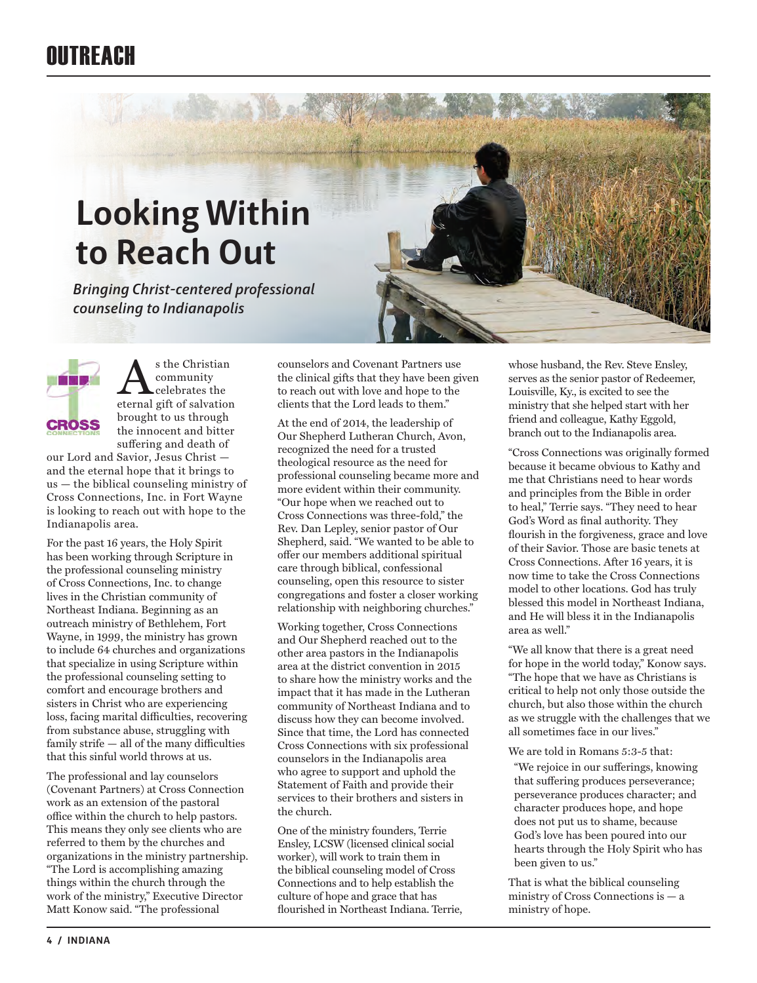# **Looking Within to Reach Out**

*Bringing Christ-centered professional counseling to Indianapolis*



 $\sum_{\substack{\text{community} \text{eternal gift of } \text{salvation}}}$ community celebrates the brought to us through the innocent and bitter suffering and death of

our Lord and Savior, Jesus Christ and the eternal hope that it brings to us — the biblical counseling ministry of Cross Connections, Inc. in Fort Wayne is looking to reach out with hope to the Indianapolis area.

For the past 16 years, the Holy Spirit has been working through Scripture in the professional counseling ministry of Cross Connections, Inc. to change lives in the Christian community of Northeast Indiana. Beginning as an outreach ministry of Bethlehem, Fort Wayne, in 1999, the ministry has grown to include 64 churches and organizations that specialize in using Scripture within the professional counseling setting to comfort and encourage brothers and sisters in Christ who are experiencing loss, facing marital difficulties, recovering from substance abuse, struggling with family strife — all of the many difficulties that this sinful world throws at us.

The professional and lay counselors (Covenant Partners) at Cross Connection work as an extension of the pastoral office within the church to help pastors. This means they only see clients who are referred to them by the churches and organizations in the ministry partnership. "The Lord is accomplishing amazing things within the church through the work of the ministry," Executive Director Matt Konow said. "The professional

counselors and Covenant Partners use the clinical gifts that they have been given to reach out with love and hope to the clients that the Lord leads to them."

At the end of 2014, the leadership of Our Shepherd Lutheran Church, Avon, recognized the need for a trusted theological resource as the need for professional counseling became more and more evident within their community. "Our hope when we reached out to Cross Connections was three-fold," the Rev. Dan Lepley, senior pastor of Our Shepherd, said. "We wanted to be able to offer our members additional spiritual care through biblical, confessional counseling, open this resource to sister congregations and foster a closer working relationship with neighboring churches."

Working together, Cross Connections and Our Shepherd reached out to the other area pastors in the Indianapolis area at the district convention in 2015 to share how the ministry works and the impact that it has made in the Lutheran community of Northeast Indiana and to discuss how they can become involved. Since that time, the Lord has connected Cross Connections with six professional counselors in the Indianapolis area who agree to support and uphold the Statement of Faith and provide their services to their brothers and sisters in the church.

One of the ministry founders, Terrie Ensley, LCSW (licensed clinical social worker), will work to train them in the biblical counseling model of Cross Connections and to help establish the culture of hope and grace that has flourished in Northeast Indiana. Terrie,

whose husband, the Rev. Steve Ensley, serves as the senior pastor of Redeemer, Louisville, Ky., is excited to see the ministry that she helped start with her friend and colleague, Kathy Eggold, branch out to the Indianapolis area.

"Cross Connections was originally formed because it became obvious to Kathy and me that Christians need to hear words and principles from the Bible in order to heal," Terrie says. "They need to hear God's Word as final authority. They flourish in the forgiveness, grace and love of their Savior. Those are basic tenets at Cross Connections. After 16 years, it is now time to take the Cross Connections model to other locations. God has truly blessed this model in Northeast Indiana, and He will bless it in the Indianapolis area as well."

"We all know that there is a great need for hope in the world today," Konow says. "The hope that we have as Christians is critical to help not only those outside the church, but also those within the church as we struggle with the challenges that we all sometimes face in our lives."

We are told in Romans 5:3-5 that:

"We rejoice in our sufferings, knowing that suffering produces perseverance; perseverance produces character; and character produces hope, and hope does not put us to shame, because God's love has been poured into our hearts through the Holy Spirit who has been given to us."

That is what the biblical counseling ministry of Cross Connections is — a ministry of hope.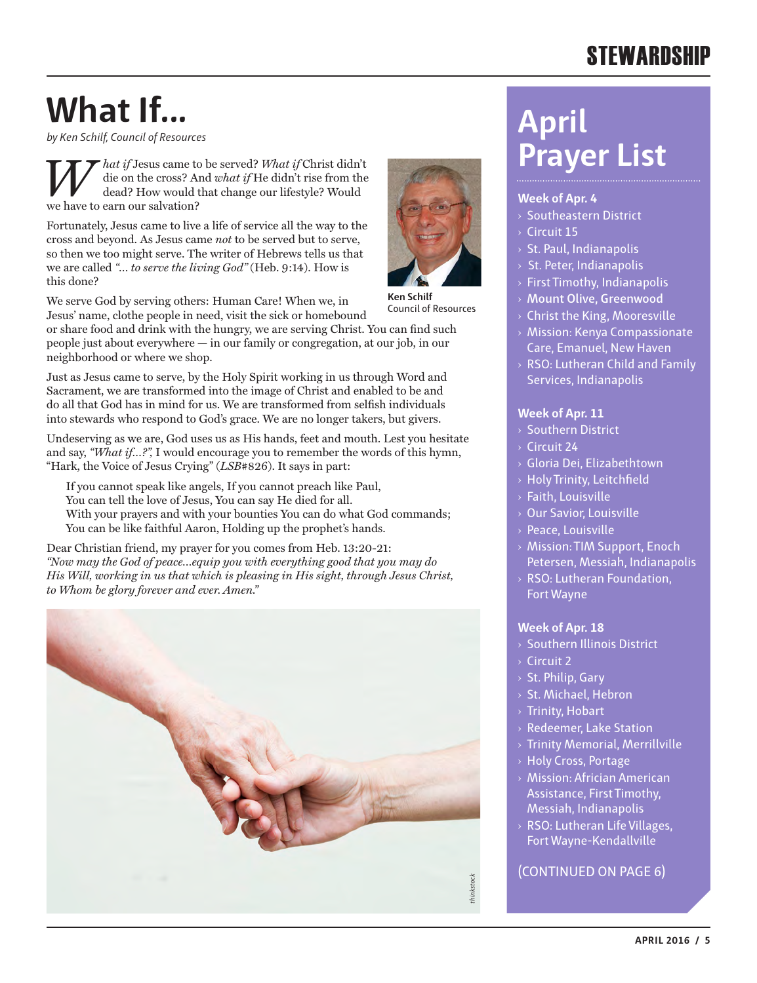### **STEWARDSHIP**

# **What If...**

*by Ken Schilf, Council of Resources*

*What if Jesus came to be served? What if Christ didn't* die on the cross? And *what if* He didn't rise from the dead? How would that change our lifestyle? Would die on the cross? And *what if* He didn't rise from the dead? How would that change our lifestyle? Would we have to earn our salvation?

Fortunately, Jesus came to live a life of service all the way to the cross and beyond. As Jesus came *not* to be served but to serve, so then we too might serve. The writer of Hebrews tells us that we are called *"… to serve the living God"* (Heb. 9:14). How is this done?

We serve God by serving others: Human Care! When we, in Jesus' name, clothe people in need, visit the sick or homebound

or share food and drink with the hungry, we are serving Christ. You can find such people just about everywhere — in our family or congregation, at our job, in our neighborhood or where we shop.

Just as Jesus came to serve, by the Holy Spirit working in us through Word and Sacrament, we are transformed into the image of Christ and enabled to be and do all that God has in mind for us. We are transformed from selfish individuals into stewards who respond to God's grace. We are no longer takers, but givers.

Undeserving as we are, God uses us as His hands, feet and mouth. Lest you hesitate and say, *"What if…?",* I would encourage you to remember the words of this hymn, "Hark, the Voice of Jesus Crying" (*LSB*#826). It says in part:

If you cannot speak like angels, If you cannot preach like Paul, You can tell the love of Jesus, You can say He died for all. With your prayers and with your bounties You can do what God commands; You can be like faithful Aaron, Holding up the prophet's hands.

Dear Christian friend, my prayer for you comes from Heb. 13:20-21: *"Now may the God of peace…equip you with everything good that you may do His Will, working in us that which is pleasing in His sight, through Jesus Christ, to Whom be glory forever and ever. Amen."*





**Ken Schilf** Council of Resources

**Week of Apr. 4** › Southeastern District › Circuit 15

**April** 

- $>$  St. Paul, Indianapolis
- › St. Peter, Indianapolis
- › First Timothy, Indianapolis

**Prayer List**

- › **Mount Olive, Greenwood**
- › Christ the King, Mooresville
- › Mission: Kenya Compassionate Care, Emanuel, New Haven
- $\rightarrow$  RSO: Lutheran Child and Family Services, Indianapolis

#### **Week of Apr. 11**

- › Southern District
- › Circuit 24
- › Gloria Dei, Elizabethtown
- › Holy Trinity, Leitchfield
- › Faith, Louisville
- › Our Savior, Louisville
- › Peace, Louisville
- › Mission: TIM Support, Enoch Petersen, Messiah, Indianapolis
- › RSO: Lutheran Foundation, Fort Wayne

#### **Week of Apr. 18**

- › Southern Illinois District
- › Circuit 2
- › St. Philip, Gary
- › St. Michael, Hebron
- $\rightarrow$  Trinity, Hobart
- › Redeemer, Lake Station
- › Trinity Memorial, Merrillville
- › Holy Cross, Portage
- › Mission: Africian American Assistance, First Timothy, Messiah, Indianapolis
- › RSO: Lutheran Life Villages, Fort Wayne-Kendallville

#### (CONTINUED ON PAGE 6)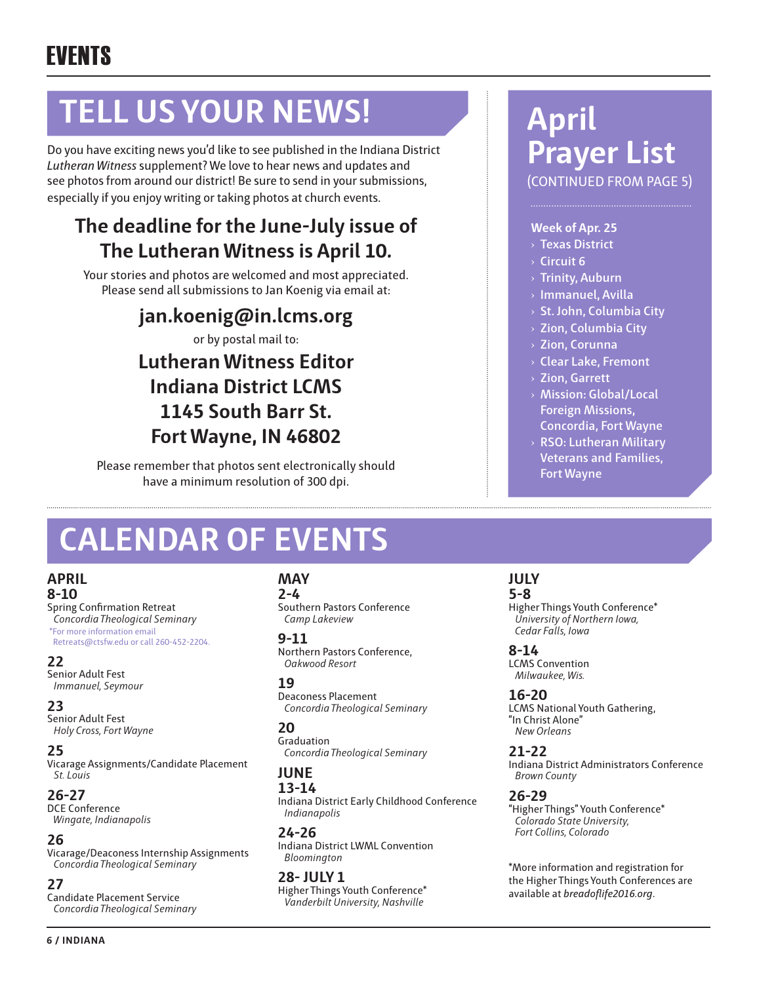# **TELL US YOUR NEWS!**

Do you have exciting news you'd like to see published in the Indiana District *Lutheran Witness* supplement? We love to hear news and updates and see photos from around our district! Be sure to send in your submissions, especially if you enjoy writing or taking photos at church events.

### **The deadline for the June-July issue of The Lutheran Witness is April 10.**

Your stories and photos are welcomed and most appreciated. Please send all submissions to Jan Koenig via email at:

**jan.koenig@in.lcms.org**

or by postal mail to:

### **Lutheran Witness Editor Indiana District LCMS 1145 South Barr St. Fort Wayne, IN 46802**

Please remember that photos sent electronically should have a minimum resolution of 300 dpi.

# **CALENDAR OF EVENTS**

### **APRIL**

**8-10** Spring Confirmation Retreat *Concordia Theological Seminary* \*For more information email Retreats@ctsfw.edu or call 260-452-2204.

#### **22**

Senior Adult Fest *Immanuel, Seymour*

#### **23**

Senior Adult Fest *Holy Cross, Fort Wayne*

#### **25**

Vicarage Assignments/Candidate Placement *St. Louis*

#### **26-27**

DCE Conference  *Wingate, Indianapolis*

#### **26**

Vicarage/Deaconess Internship Assignments *Concordia Theological Seminary*

#### **27**

Candidate Placement Service *Concordia Theological Seminary*

#### **MAY**

**2-4** Southern Pastors Conference *Camp Lakeview*

**9-11** Northern Pastors Conference, *Oakwood Resort*

#### **19**

Deaconess Placement *Concordia Theological Seminary*

#### **20**

Graduation  *Concordia Theological Seminary*

#### **JUNE 13-14**

Indiana District Early Childhood Conference *Indianapolis*

**24-26** Indiana District LWML Convention *Bloomington*

**28- JULY 1** Higher Things Youth Conference\* *Vanderbilt University, Nashville*

### **April Prayer List** (CONTINUED FROM PAGE 5)

#### **Week of Apr. 25**

- › **Texas District**
- › **Circuit 6**
- › **Trinity, Auburn**
- › **Immanuel, Avilla**
- › **St. John, Columbia City**
- › **Zion, Columbia City**
- › **Zion, Corunna**
- › **Clear Lake, Fremont**
- › **Zion, Garrett**
- › **Mission: Global/Local Foreign Missions, Concordia, Fort Wayne**
- › **RSO: Lutheran Military Veterans and Families, Fort Wayne**

#### **JULY 5-8**

Higher Things Youth Conference\* *University of Northern Iowa, Cedar Falls, Iowa*

**8-14** LCMS Convention *Milwaukee, Wis.*

**16-20** LCMS National Youth Gathering, "In Christ Alone" *New Orleans*

**21-22** Indiana District Administrators Conference *Brown County*

**26-29** "Higher Things" Youth Conference\* *Colorado State University, Fort Collins, Colorado*

\*More information and registration for the Higher Things Youth Conferences are available at *breadoflife2016.org*.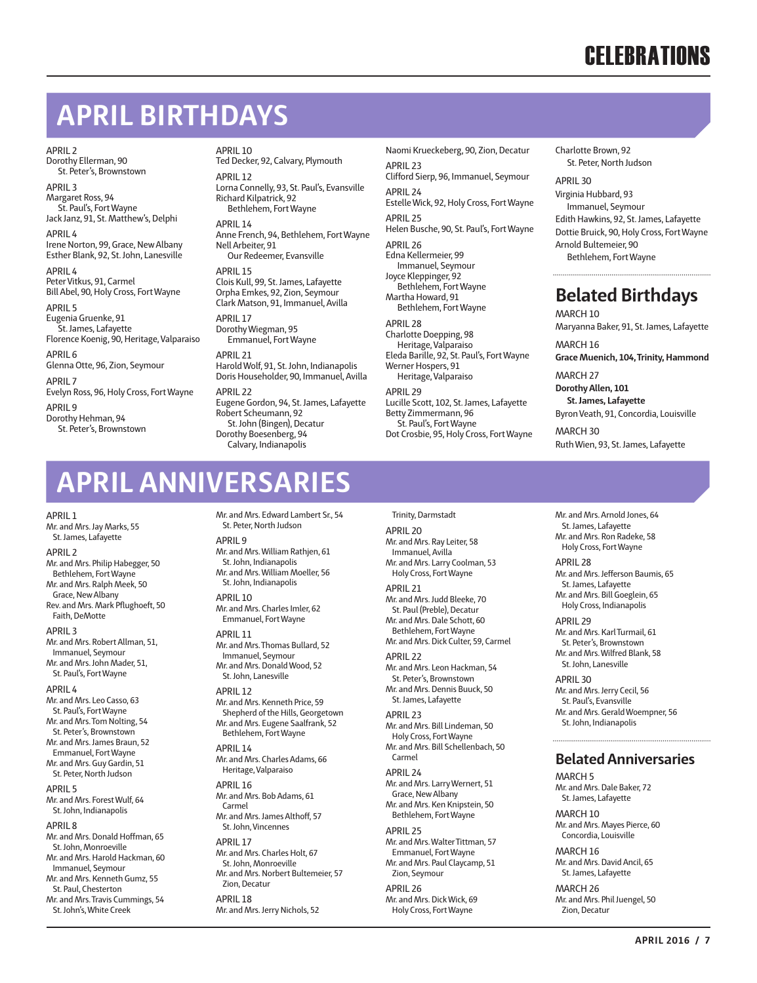### **APRIL BIRTHDAYS**

APRIL 2 Dorothy Ellerman, 90 St. Peter's, Brownstown

APRIL 3 Margaret Ross, 94 St. Paul's, Fort Wayne Jack Janz, 91, St. Matthew's, Delphi

APRIL 4 Irene Norton, 99, Grace, New Albany Esther Blank, 92, St. John, Lanesville

APRIL 4 Peter Vitkus, 91, Carmel Bill Abel, 90, Holy Cross, Fort Wayne

APRIL 5 Eugenia Gruenke, 91 St. James, Lafayette Florence Koenig, 90, Heritage, Valparaiso

APRIL 6 Glenna Otte, 96, Zion, Seymour

APRIL 7 Evelyn Ross, 96, Holy Cross, Fort Wayne APRIL 9 Dorothy Hehman, 94

St. Peter's, Brownstown

APRIL 10 Ted Decker, 92, Calvary, Plymouth

APRIL 12 Lorna Connelly, 93, St. Paul's, Evansville Richard Kilpatrick, 92 Bethlehem, Fort Wayne

APRIL 14 Anne French, 94, Bethlehem, Fort Wayne Nell Arbeiter, 91 Our Redeemer, Evansville

APRIL 15 Clois Kull, 99, St. James, Lafayette Orpha Emkes, 92, Zion, Seymour Clark Matson, 91, Immanuel, Avilla

APRIL 17 Dorothy Wiegman, 95 Emmanuel, Fort Wayne APRIL 21 Harold Wolf, 91, St. John, Indianapolis Doris Householder, 90, Immanuel, Avilla APRIL 22 Eugene Gordon, 94, St. James, Lafayette Robert Scheumann, 92 St. John (Bingen), Decatur Dorothy Boesenberg, 94 Calvary, Indianapolis

Naomi Krueckeberg, 90, Zion, Decatur APRIL 23 Clifford Sierp, 96, Immanuel, Seymour APRIL 24 Estelle Wick, 92, Holy Cross, Fort Wayne APRIL 25 Helen Busche, 90, St. Paul's, Fort Wayne APRIL 26 Edna Kellermeier, 99 Immanuel, Seymour Joyce Kleppinger, 92 Bethlehem, Fort Wayne Martha Howard, 91 Bethlehem, Fort Wayne

APRIL 28 Charlotte Doepping, 98 Heritage, Valparaiso Eleda Barille, 92, St. Paul's, Fort Wayne Werner Hospers, 91 Heritage, Valparaiso APRIL 29 Lucille Scott, 102, St. James, Lafayette Betty Zimmermann, 96 St. Paul's, Fort Wayne Dot Crosbie, 95, Holy Cross, Fort Wayne Charlotte Brown, 92 St. Peter, North Judson

APRIL 30 Virginia Hubbard, 93 Immanuel, Seymour Edith Hawkins, 92, St. James, Lafayette Dottie Bruick, 90, Holy Cross, Fort Wayne Arnold Bultemeier, 90

Bethlehem, Fort Wayne

### **Belated Birthdays**

MARCH 10

Maryanna Baker, 91, St. James, Lafayette MARCH 16

**Grace Muenich, 104, Trinity, Hammond**

MARCH 27 **Dorothy Allen, 101**

**St. James, Lafayette**

Byron Veath, 91, Concordia, Louisville

MARCH 30 Ruth Wien, 93, St. James, Lafayette

## **APRIL ANNIVERSARIES**

#### APRIL 1

Mr. and Mrs. Jay Marks, 55 St. James, Lafayette

#### APRIL 2

Mr. and Mrs. Philip Habegger, 50 Bethlehem, Fort Wayne Mr. and Mrs. Ralph Meek, 50 Grace, New Albany Rev. and Mrs. Mark Pflughoeft, 50 Faith, DeMotte

#### APRIL 3

Mr. and Mrs. Robert Allman, 51, Immanuel, Seymour Mr. and Mrs. John Mader, 51, St. Paul's, Fort Wayne

APRIL 4

Mr. and Mrs. Leo Casso, 63 St. Paul's, Fort Wayne Mr. and Mrs. Tom Nolting, 54 St. Peter's, Brownstown Mr. and Mrs. James Braun, 52 Emmanuel, Fort Wayne Mr. and Mrs. Guy Gardin, 51 St. Peter, North Judson

APRIL 5

Mr. and Mrs. Forest Wulf, 64 St. John, Indianapolis

APRIL 8

Mr. and Mrs. Donald Hoffman, 65 St. John, Monroeville Mr. and Mrs. Harold Hackman, 60 Immanuel, Seymour Mr. and Mrs. Kenneth Gumz, 55 St. Paul, Chesterton Mr. and Mrs. Travis Cummings, 54 St. John's, White Creek

Mr. and Mrs. Edward Lambert Sr., 54 St. Peter, North Judson APRIL 9

Mr. and Mrs. William Rathjen, 61 St. John, Indianapolis Mr. and Mrs. William Moeller, 56 St. John, Indianapolis APRIL 10

Mr. and Mrs. Charles Imler, 62 Emmanuel, Fort Wayne

#### APRIL 11

Mr. and Mrs. Thomas Bullard, 52 Immanuel, Seymour Mr. and Mrs. Donald Wood, 52 St. John, Lanesville

#### APRIL 12

Mr. and Mrs. Kenneth Price, 59 Shepherd of the Hills, Georgetown Mr. and Mrs. Eugene Saalfrank, 52 Bethlehem, Fort Wayne

APRIL 14

Mr. and Mrs. Charles Adams, 66 Heritage, Valparaiso APRIL 16 Mr. and Mrs. Bob Adams, 61 Carmel

Mr. and Mrs. James Althoff, 57 St. John, Vincennes

APRIL 17 Mr. and Mrs. Charles Holt, 67 St. John, Monroeville Mr. and Mrs. Norbert Bultemeier, 57 Zion, Decatur APRIL 18

Mr. and Mrs. Jerry Nichols, 52

Trinity, Darmstadt APRIL 20 Mr. and Mrs. Ray Leiter, 58 Immanuel, Avilla Mr. and Mrs. Larry Coolman, 53 Holy Cross, Fort Wayne APRIL 21 Mr. and Mrs. Judd Bleeke, 70 St. Paul (Preble), Decatur Mr. and Mrs. Dale Schott, 60 Bethlehem, Fort Wayne Mr. and Mrs. Dick Culter, 59, Carmel APRIL 22

Mr. and Mrs. Leon Hackman, 54 St. Peter's, Brownstown

Mr. and Mrs. Dennis Buuck, 50 St. James, Lafayette

APRIL 23 Mr. and Mrs. Bill Lindeman, 50 Holy Cross, Fort Wayne Mr. and Mrs. Bill Schellenbach, 50 Carmel

APRIL 24 Mr. and Mrs. Larry Wernert, 51 Grace, New Albany Mr. and Mrs. Ken Knipstein, 50

Bethlehem, Fort Wayne APRIL 25 Mr. and Mrs. Walter Tittman, 57 Emmanuel, Fort Wayne Mr. and Mrs. Paul Claycamp, 51 Zion, Seymour APRIL 26

Mr. and Mrs. Dick Wick, 69 Holy Cross, Fort Wayne

Mr. and Mrs. Arnold Jones, 64 St. James, Lafayette Mr. and Mrs. Ron Radeke, 58 Holy Cross, Fort Wayne

APRIL 28 Mr. and Mrs. Jefferson Baumis, 65 St. James, Lafayette

Mr. and Mrs. Bill Goeglein, 65 Holy Cross, Indianapolis APRIL 29

Mr. and Mrs. Karl Turmail, 61 St. Peter's, Brownstown Mr. and Mrs. Wilfred Blank, 58 St. John, Lanesville

APRIL 30 Mr. and Mrs. Jerry Cecil, 56 St. Paul's, Evansville Mr. and Mrs. Gerald Woempner, 56 St. John, Indianapolis

#### **Belated Anniversaries**

MARCH 5 Mr. and Mrs. Dale Baker, 72 St. James, Lafayette

MARCH 10 Mr. and Mrs. Mayes Pierce, 60 Concordia, Louisville

MARCH 16 Mr. and Mrs. David Ancil, 65 St. James, Lafayette

MARCH 26 Mr. and Mrs. Phil Juengel, 50 Zion, Decatur